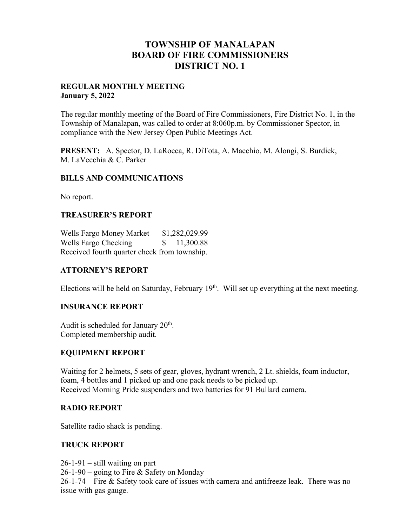# **TOWNSHIP OF MANALAPAN BOARD OF FIRE COMMISSIONERS DISTRICT NO. 1**

#### **REGULAR MONTHLY MEETING January 5, 2022**

The regular monthly meeting of the Board of Fire Commissioners, Fire District No. 1, in the Township of Manalapan, was called to order at 8:060p.m. by Commissioner Spector, in compliance with the New Jersey Open Public Meetings Act.

**PRESENT:** A. Spector, D. LaRocca, R. DiTota, A. Macchio, M. Alongi, S. Burdick, M. LaVecchia & C. Parker

### **BILLS AND COMMUNICATIONS**

No report.

### **TREASURER'S REPORT**

Wells Fargo Money Market \$1,282,029.99 Wells Fargo Checking  $$ 11,300.88$ Received fourth quarter check from township.

### **ATTORNEY'S REPORT**

Elections will be held on Saturday, February  $19<sup>th</sup>$ . Will set up everything at the next meeting.

### **INSURANCE REPORT**

Audit is scheduled for January 20<sup>th</sup>. Completed membership audit.

### **EQUIPMENT REPORT**

Waiting for 2 helmets, 5 sets of gear, gloves, hydrant wrench, 2 Lt. shields, foam inductor, foam, 4 bottles and 1 picked up and one pack needs to be picked up. Received Morning Pride suspenders and two batteries for 91 Bullard camera.

### **RADIO REPORT**

Satellite radio shack is pending.

### **TRUCK REPORT**

 $26-1-91$  – still waiting on part 26-1-90 – going to Fire & Safety on Monday 26-1-74 – Fire & Safety took care of issues with camera and antifreeze leak. There was no issue with gas gauge.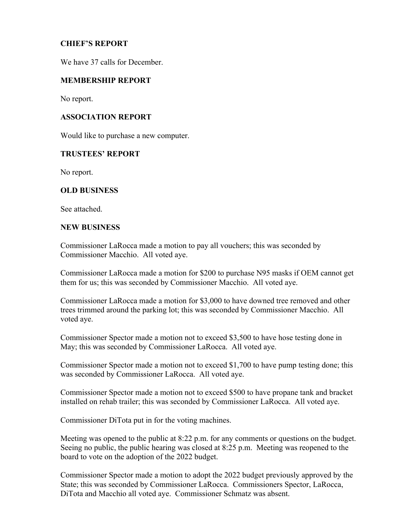### **CHIEF'S REPORT**

We have 37 calls for December.

### **MEMBERSHIP REPORT**

No report.

### **ASSOCIATION REPORT**

Would like to purchase a new computer.

### **TRUSTEES' REPORT**

No report.

### **OLD BUSINESS**

See attached.

### **NEW BUSINESS**

Commissioner LaRocca made a motion to pay all vouchers; this was seconded by Commissioner Macchio. All voted aye.

Commissioner LaRocca made a motion for \$200 to purchase N95 masks if OEM cannot get them for us; this was seconded by Commissioner Macchio. All voted aye.

Commissioner LaRocca made a motion for \$3,000 to have downed tree removed and other trees trimmed around the parking lot; this was seconded by Commissioner Macchio. All voted aye.

Commissioner Spector made a motion not to exceed \$3,500 to have hose testing done in May; this was seconded by Commissioner LaRocca. All voted aye.

Commissioner Spector made a motion not to exceed \$1,700 to have pump testing done; this was seconded by Commissioner LaRocca. All voted aye.

Commissioner Spector made a motion not to exceed \$500 to have propane tank and bracket installed on rehab trailer; this was seconded by Commissioner LaRocca. All voted aye.

Commissioner DiTota put in for the voting machines.

Meeting was opened to the public at 8:22 p.m. for any comments or questions on the budget. Seeing no public, the public hearing was closed at 8:25 p.m. Meeting was reopened to the board to vote on the adoption of the 2022 budget.

Commissioner Spector made a motion to adopt the 2022 budget previously approved by the State; this was seconded by Commissioner LaRocca. Commissioners Spector, LaRocca, DiTota and Macchio all voted aye. Commissioner Schmatz was absent.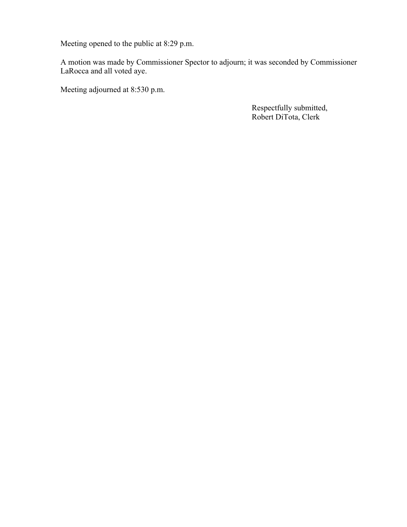Meeting opened to the public at 8:29 p.m.

A motion was made by Commissioner Spector to adjourn; it was seconded by Commissioner LaRocca and all voted aye.

Meeting adjourned at 8:530 p.m.

 Respectfully submitted, Robert DiTota, Clerk